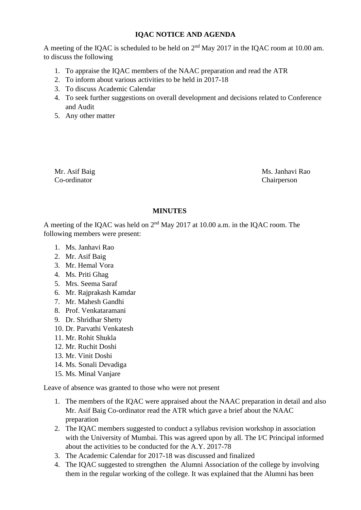# **IQAC NOTICE AND AGENDA**

A meeting of the IQAC is scheduled to be held on  $2<sup>nd</sup>$  May 2017 in the IQAC room at 10.00 am. to discuss the following

- 1. To appraise the IQAC members of the NAAC preparation and read the ATR
- 2. To inform about various activities to be held in 2017-18
- 3. To discuss Academic Calendar
- 4. To seek further suggestions on overall development and decisions related to Conference and Audit
- 5. Any other matter

Co-ordinator Chairperson

Mr. Asif Baig Ms. Janhavi Rao

## **MINUTES**

A meeting of the IQAC was held on 2nd May 2017 at 10.00 a.m. in the IQAC room. The following members were present:

- 1. Ms. Janhavi Rao
- 2. Mr. Asif Baig
- 3. Mr. Hemal Vora
- 4. Ms. Priti Ghag
- 5. Mrs. Seema Saraf
- 6. Mr. Rajprakash Kamdar
- 7. Mr. Mahesh Gandhi
- 8. Prof. Venkataramani
- 9. Dr. Shridhar Shetty
- 10. Dr. Parvathi Venkatesh
- 11. Mr. Rohit Shukla
- 12. Mr. Ruchit Doshi
- 13. Mr. Vinit Doshi
- 14. Ms. Sonali Devadiga
- 15. Ms. Minal Vanjare

Leave of absence was granted to those who were not present

- 1. The members of the IQAC were appraised about the NAAC preparation in detail and also Mr. Asif Baig Co-ordinator read the ATR which gave a brief about the NAAC preparation
- 2. The IQAC members suggested to conduct a syllabus revision workshop in association with the University of Mumbai. This was agreed upon by all. The I/C Principal informed about the activities to be conducted for the A.Y. 2017-78
- 3. The Academic Calendar for 2017-18 was discussed and finalized
- 4. The IQAC suggested to strengthen the Alumni Association of the college by involving them in the regular working of the college. It was explained that the Alumni has been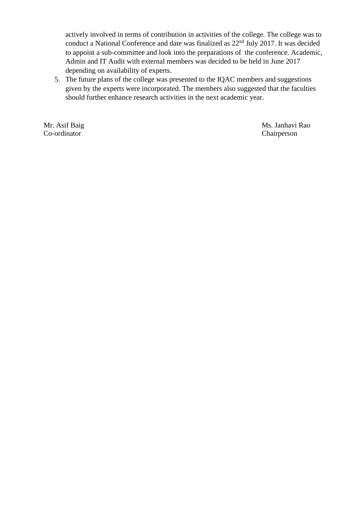actively involved in terms of contribution in activities of the college. The college was to conduct a National Conference and date was finalized as  $22<sup>nd</sup>$  July 2017. It was decided to appoint a sub-committee and look into the preparations of the conference. Academic, Admin and IT Audit with external members was decided to be held in June 2017 depending on availability of experts.

5. The future plans of the college was presented to the IQAC members and suggestions given by the experts were incorporated. The members also suggested that the faculties should further enhance research activities in the next academic year.

Co-ordinator Chairperson

Mr. Asif Baig Ms. Janhavi Rao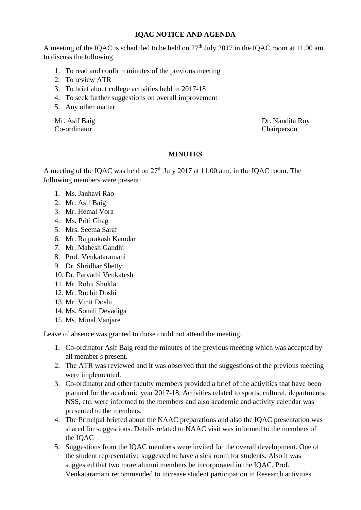## **IQAC NOTICE AND AGENDA**

A meeting of the IQAC is scheduled to be held on  $27<sup>th</sup>$  July 2017 in the IQAC room at 11.00 am. to discuss the following

- 1. To read and confirm minutes of the previous meeting
- 2. To review ATR
- 3. To brief about college activities held in 2017-18
- 4. To seek further suggestions on overall improvement
- 5. Any other matter

Co-ordinator Chairperson

Mr. Asif Baig Dr. Nandita Roy

## **MINUTES**

A meeting of the IQAC was held on 27<sup>th</sup> July 2017 at 11.00 a.m. in the IQAC room. The following members were present:

- 1. Ms. Janhavi Rao
- 2. Mr. Asif Baig
- 3. Mr. Hemal Vora
- 4. Ms. Priti Ghag
- 5. Mrs. Seema Saraf
- 6. Mr. Rajprakash Kamdar
- 7. Mr. Mahesh Gandhi
- 8. Prof. Venkataramani
- 9. Dr. Shridhar Shetty
- 10. Dr. Parvathi Venkatesh
- 11. Mr. Rohit Shukla
- 12. Mr. Ruchit Doshi
- 13. Mr. Vinit Doshi
- 14. Ms. Sonali Devadiga
- 15. Ms. Minal Vanjare

Leave of absence was granted to those could not attend the meeting.

- 1. Co-ordinator Asif Baig read the minutes of the previous meeting which was accepted by all member s present.
- 2. The ATR was reviewed and it was observed that the suggestions of the previous meeting were implemented.
- 3. Co-ordinator and other faculty members provided a brief of the activities that have been planned for the academic year 2017-18. Activities related to sports, cultural, departments, NSS, etc. were informed to the members and also academic and activity calendar was presented to the members.
- 4. The Principal briefed about the NAAC preparations and also the IQAC presentation was shared for suggestions. Details related to NAAC visit was informed to the members of the IQAC
- 5. Suggestions from the IQAC members were invited for the overall development. One of the student representative suggested to have a sick room for students. Also it was suggested that two more alumni members be incorporated in the IQAC. Prof. Venkataramani recommended to increase student participation in Research activities.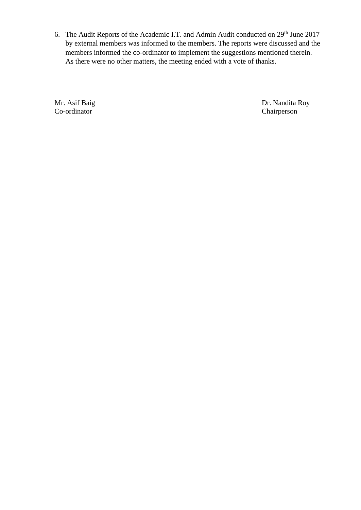6. The Audit Reports of the Academic I.T. and Admin Audit conducted on 29<sup>th</sup> June 2017 by external members was informed to the members. The reports were discussed and the members informed the co-ordinator to implement the suggestions mentioned therein. As there were no other matters, the meeting ended with a vote of thanks.

Co-ordinator Chairperson

Mr. Asif Baig Dr. Nandita Roy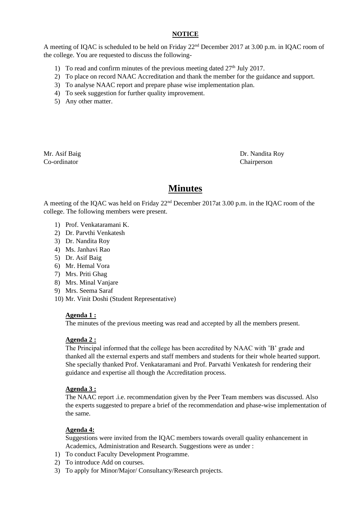### **NOTICE**

A meeting of IQAC is scheduled to be held on Friday 22nd December 2017 at 3.00 p.m. in IQAC room of the college. You are requested to discuss the following-

- 1) To read and confirm minutes of the previous meeting dated  $27<sup>th</sup>$  July 2017.
- 2) To place on record NAAC Accreditation and thank the member for the guidance and support.
- 3) To analyse NAAC report and prepare phase wise implementation plan.
- 4) To seek suggestion for further quality improvement.
- 5) Any other matter.

Co-ordinator Chairperson

Mr. Asif Baig Dr. Nandita Roy

# **Minutes**

A meeting of the IQAC was held on Friday 22nd December 2017at 3.00 p.m. in the IQAC room of the college. The following members were present.

- 1) Prof. Venkataramani K.
- 2) Dr. Parvthi Venkatesh
- 3) Dr. Nandita Roy
- 4) Ms. Janhavi Rao
- 5) Dr. Asif Baig
- 6) Mr. Hemal Vora
- 7) Mrs. Priti Ghag
- 8) Mrs. Minal Vanjare
- 9) Mrs. Seema Saraf
- 10) Mr. Vinit Doshi (Student Representative)

#### **Agenda 1 :**

The minutes of the previous meeting was read and accepted by all the members present.

#### **Agenda 2 :**

The Principal informed that the college has been accredited by NAAC with 'B' grade and thanked all the external experts and staff members and students for their whole hearted support. She specially thanked Prof. Venkataramani and Prof. Parvathi Venkatesh for rendering their guidance and expertise all though the Accreditation process.

#### **Agenda 3 :**

The NAAC report .i.e. recommendation given by the Peer Team members was discussed. Also the experts suggested to prepare a brief of the recommendation and phase-wise implementation of the same.

#### **Agenda 4:**

Suggestions were invited from the IQAC members towards overall quality enhancement in Academics, Administration and Research. Suggestions were as under :

- 1) To conduct Faculty Development Programme.
- 2) To introduce Add on courses.
- 3) To apply for Minor/Major/ Consultancy/Research projects.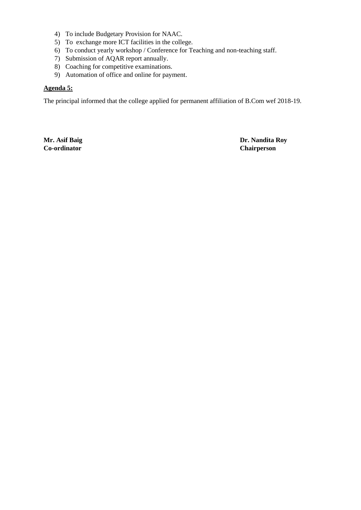- 4) To include Budgetary Provision for NAAC.
- 5) To exchange more ICT facilities in the college.
- 6) To conduct yearly workshop / Conference for Teaching and non-teaching staff.
- 7) Submission of AQAR report annually.
- 8) Coaching for competitive examinations.
- 9) Automation of office and online for payment.

#### **Agenda 5:**

The principal informed that the college applied for permanent affiliation of B.Com wef 2018-19.

**Co-ordinator Chairperson**

**Mr. Asif Baig Dr. Nandita Roy**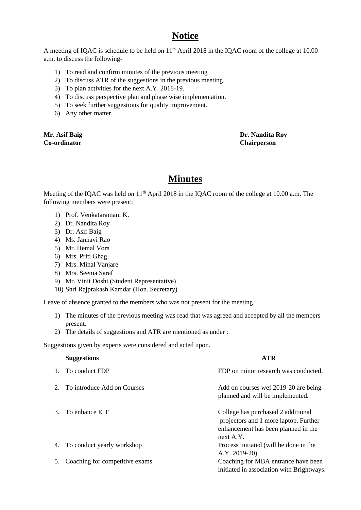# **Notice**

A meeting of IQAC is schedule to be held on 11<sup>th</sup> April 2018 in the IQAC room of the college at 10.00 a.m. to discuss the following-

- 1) To read and confirm minutes of the previous meeting
- 2) To discuss ATR of the suggestions in the previous meeting.
- 3) To plan activities for the next A.Y. 2018-19.
- 4) To discuss perspective plan and phase wise implementation.
- 5) To seek further suggestions for quality improvement.
- 6) Any other matter.

**Co-ordinator Chairperson**

**Mr. Asif Baig Dr. Nandita Roy**

# **Minutes**

Meeting of the IQAC was held on 11<sup>th</sup> April 2018 in the IQAC room of the college at 10.00 a.m. The following members were present:

- 1) Prof. Venkataramani K.
- 2) Dr. Nandita Roy
- 3) Dr. Asif Baig
- 4) Ms. Janhavi Rao
- 5) Mr. Hemal Vora
- 6) Mrs. Priti Ghag
- 7) Mrs. Minal Vanjare
- 8) Mrs. Seema Saraf
- 9) Mr. Vinit Doshi (Student Representative)
- 10) Shri Rajprakash Kamdar (Hon. Secretary)

Leave of absence granted to the members who was not present for the meeting.

- 1) The minutes of the previous meeting was read that was agreed and accepted by all the members present.
- 2) The details of suggestions and ATR are mentioned as under :

Suggestions given by experts were considered and acted upon.

|    | <b>Suggestions</b>             | <b>ATR</b>                                                                                                                      |
|----|--------------------------------|---------------------------------------------------------------------------------------------------------------------------------|
|    | To conduct FDP                 | FDP on minor research was conducted.                                                                                            |
|    | To introduce Add on Courses    | Add on courses wef 2019-20 are being<br>planned and will be implemented.                                                        |
| 3. | To enhance ICT                 | College has purchased 2 additional<br>projectors and 1 more laptop. Further<br>enhancement has been planned in the<br>next A.Y. |
| 4. | To conduct yearly workshop     | Process initiated (will be done in the<br>A.Y. 2019-20)                                                                         |
| 5. | Coaching for competitive exams | Coaching for MBA entrance have been<br>initiated in association with Brightways.                                                |